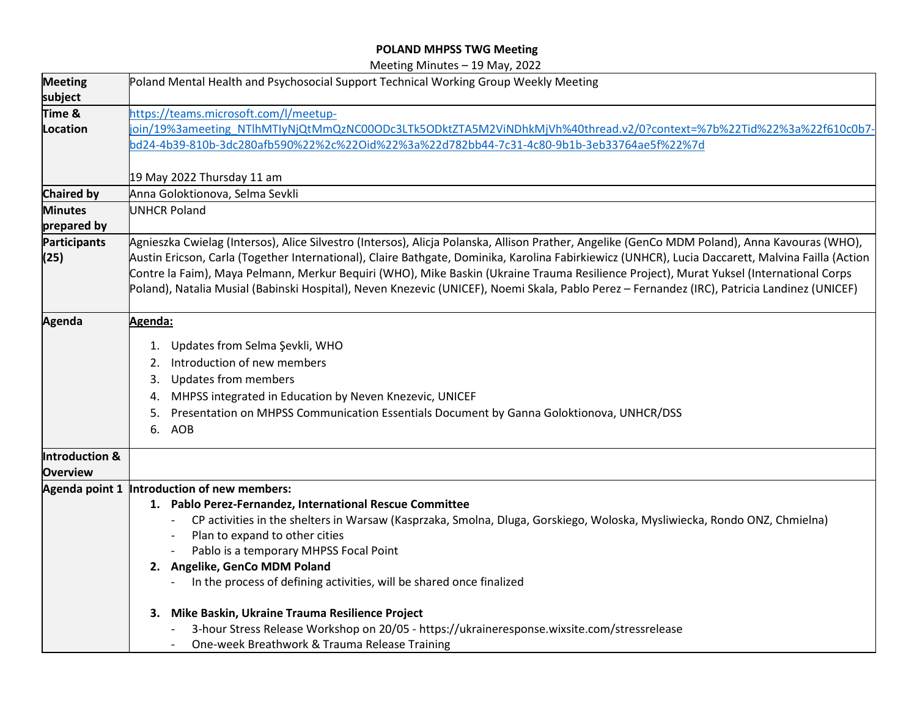## **POLAND MHPSS TWG Meeting**

Meeting Minutes – 19 May, 2022

|                               | $\frac{1}{2}$                                                                                                                                                                                                                                                                                                                                                                                                                                                                                                                                                                                 |  |  |  |
|-------------------------------|-----------------------------------------------------------------------------------------------------------------------------------------------------------------------------------------------------------------------------------------------------------------------------------------------------------------------------------------------------------------------------------------------------------------------------------------------------------------------------------------------------------------------------------------------------------------------------------------------|--|--|--|
| <b>Meeting</b><br>subject     | Poland Mental Health and Psychosocial Support Technical Working Group Weekly Meeting                                                                                                                                                                                                                                                                                                                                                                                                                                                                                                          |  |  |  |
| Time &                        | https://teams.microsoft.com/l/meetup-                                                                                                                                                                                                                                                                                                                                                                                                                                                                                                                                                         |  |  |  |
| Location                      | join/19%3ameeting NTlhMTlyNjQtMmQzNC00ODc3LTk5ODktZTA5M2ViNDhkMjVh%40thread.v2/0?context=%7b%22Tid%22%3a%22f610c0b7-                                                                                                                                                                                                                                                                                                                                                                                                                                                                          |  |  |  |
|                               | bd24-4b39-810b-3dc280afb590%22%2c%22Oid%22%3a%22d782bb44-7c31-4c80-9b1b-3eb33764ae5f%22%7d                                                                                                                                                                                                                                                                                                                                                                                                                                                                                                    |  |  |  |
|                               | 19 May 2022 Thursday 11 am                                                                                                                                                                                                                                                                                                                                                                                                                                                                                                                                                                    |  |  |  |
| <b>Chaired by</b>             | Anna Goloktionova, Selma Sevkli                                                                                                                                                                                                                                                                                                                                                                                                                                                                                                                                                               |  |  |  |
| <b>Minutes</b><br>prepared by | <b>UNHCR Poland</b>                                                                                                                                                                                                                                                                                                                                                                                                                                                                                                                                                                           |  |  |  |
| Participants<br>(25)          | Agnieszka Cwielag (Intersos), Alice Silvestro (Intersos), Alicja Polanska, Allison Prather, Angelike (GenCo MDM Poland), Anna Kavouras (WHO),<br>Austin Ericson, Carla (Together International), Claire Bathgate, Dominika, Karolina Fabirkiewicz (UNHCR), Lucia Daccarett, Malvina Failla (Action<br>Contre la Faim), Maya Pelmann, Merkur Bequiri (WHO), Mike Baskin (Ukraine Trauma Resilience Project), Murat Yuksel (International Corps<br>Poland), Natalia Musial (Babinski Hospital), Neven Knezevic (UNICEF), Noemi Skala, Pablo Perez – Fernandez (IRC), Patricia Landinez (UNICEF) |  |  |  |
| Agenda                        | Agenda:                                                                                                                                                                                                                                                                                                                                                                                                                                                                                                                                                                                       |  |  |  |
|                               |                                                                                                                                                                                                                                                                                                                                                                                                                                                                                                                                                                                               |  |  |  |
|                               | 1. Updates from Selma Şevkli, WHO                                                                                                                                                                                                                                                                                                                                                                                                                                                                                                                                                             |  |  |  |
|                               | 2. Introduction of new members                                                                                                                                                                                                                                                                                                                                                                                                                                                                                                                                                                |  |  |  |
|                               | <b>Updates from members</b><br>3.                                                                                                                                                                                                                                                                                                                                                                                                                                                                                                                                                             |  |  |  |
|                               | MHPSS integrated in Education by Neven Knezevic, UNICEF<br>4.                                                                                                                                                                                                                                                                                                                                                                                                                                                                                                                                 |  |  |  |
|                               | Presentation on MHPSS Communication Essentials Document by Ganna Goloktionova, UNHCR/DSS<br>5.                                                                                                                                                                                                                                                                                                                                                                                                                                                                                                |  |  |  |
|                               | 6. AOB                                                                                                                                                                                                                                                                                                                                                                                                                                                                                                                                                                                        |  |  |  |
| Introduction &                |                                                                                                                                                                                                                                                                                                                                                                                                                                                                                                                                                                                               |  |  |  |
| <b>Overview</b>               |                                                                                                                                                                                                                                                                                                                                                                                                                                                                                                                                                                                               |  |  |  |
|                               | Agenda point 1 Introduction of new members:                                                                                                                                                                                                                                                                                                                                                                                                                                                                                                                                                   |  |  |  |
|                               | 1. Pablo Perez-Fernandez, International Rescue Committee                                                                                                                                                                                                                                                                                                                                                                                                                                                                                                                                      |  |  |  |
|                               | CP activities in the shelters in Warsaw (Kasprzaka, Smolna, Dluga, Gorskiego, Woloska, Mysliwiecka, Rondo ONZ, Chmielna)                                                                                                                                                                                                                                                                                                                                                                                                                                                                      |  |  |  |
|                               | Plan to expand to other cities                                                                                                                                                                                                                                                                                                                                                                                                                                                                                                                                                                |  |  |  |
|                               | Pablo is a temporary MHPSS Focal Point                                                                                                                                                                                                                                                                                                                                                                                                                                                                                                                                                        |  |  |  |
|                               | 2. Angelike, GenCo MDM Poland                                                                                                                                                                                                                                                                                                                                                                                                                                                                                                                                                                 |  |  |  |
|                               | In the process of defining activities, will be shared once finalized                                                                                                                                                                                                                                                                                                                                                                                                                                                                                                                          |  |  |  |
|                               | 3. Mike Baskin, Ukraine Trauma Resilience Project                                                                                                                                                                                                                                                                                                                                                                                                                                                                                                                                             |  |  |  |
|                               | 3-hour Stress Release Workshop on 20/05 - https://ukraineresponse.wixsite.com/stressrelease                                                                                                                                                                                                                                                                                                                                                                                                                                                                                                   |  |  |  |
|                               | One-week Breathwork & Trauma Release Training                                                                                                                                                                                                                                                                                                                                                                                                                                                                                                                                                 |  |  |  |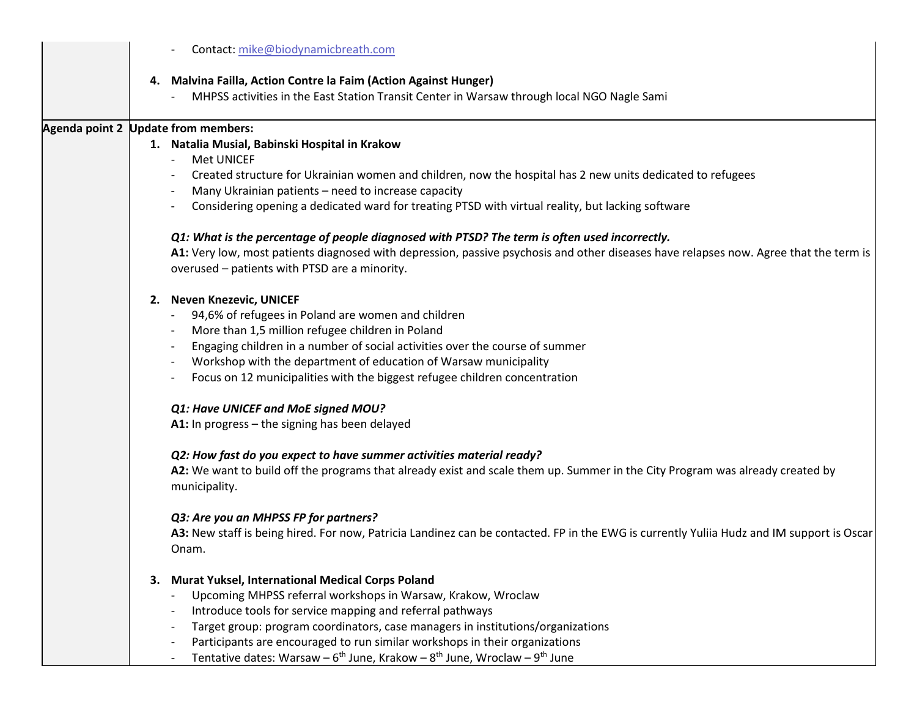|  | Contact: mike@biodynamicbreath.com                                                                                                             |
|--|------------------------------------------------------------------------------------------------------------------------------------------------|
|  | 4. Malvina Failla, Action Contre la Faim (Action Against Hunger)                                                                               |
|  | MHPSS activities in the East Station Transit Center in Warsaw through local NGO Nagle Sami                                                     |
|  | Agenda point 2 Update from members:                                                                                                            |
|  | 1. Natalia Musial, Babinski Hospital in Krakow<br>Met UNICEF<br>$\overline{\phantom{0}}$                                                       |
|  | Created structure for Ukrainian women and children, now the hospital has 2 new units dedicated to refugees                                     |
|  | Many Ukrainian patients - need to increase capacity                                                                                            |
|  | Considering opening a dedicated ward for treating PTSD with virtual reality, but lacking software                                              |
|  | Q1: What is the percentage of people diagnosed with PTSD? The term is often used incorrectly.                                                  |
|  | A1: Very low, most patients diagnosed with depression, passive psychosis and other diseases have relapses now. Agree that the term is          |
|  | overused - patients with PTSD are a minority.                                                                                                  |
|  | 2. Neven Knezevic, UNICEF                                                                                                                      |
|  | 94,6% of refugees in Poland are women and children                                                                                             |
|  | More than 1,5 million refugee children in Poland                                                                                               |
|  | Engaging children in a number of social activities over the course of summer                                                                   |
|  | Workshop with the department of education of Warsaw municipality                                                                               |
|  | Focus on 12 municipalities with the biggest refugee children concentration                                                                     |
|  | Q1: Have UNICEF and MoE signed MOU?                                                                                                            |
|  | A1: In progress - the signing has been delayed                                                                                                 |
|  | Q2: How fast do you expect to have summer activities material ready?                                                                           |
|  | A2: We want to build off the programs that already exist and scale them up. Summer in the City Program was already created by<br>municipality. |
|  | Q3: Are you an MHPSS FP for partners?                                                                                                          |
|  | A3: New staff is being hired. For now, Patricia Landinez can be contacted. FP in the EWG is currently Yuliia Hudz and IM support is Oscar      |
|  | Onam.                                                                                                                                          |
|  | 3. Murat Yuksel, International Medical Corps Poland                                                                                            |
|  | Upcoming MHPSS referral workshops in Warsaw, Krakow, Wroclaw                                                                                   |
|  | Introduce tools for service mapping and referral pathways                                                                                      |
|  | Target group: program coordinators, case managers in institutions/organizations                                                                |
|  | Participants are encouraged to run similar workshops in their organizations                                                                    |
|  | Tentative dates: Warsaw - $6^{th}$ June, Krakow - $8^{th}$ June, Wroclaw - $9^{th}$ June                                                       |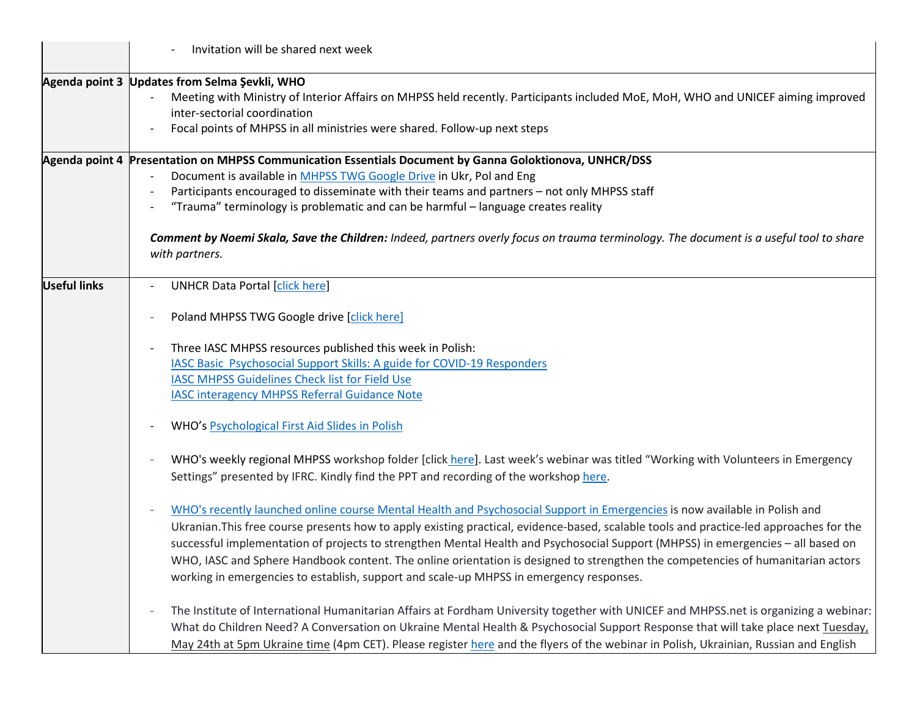|                     | Invitation will be shared next week                                                                                                                      |
|---------------------|----------------------------------------------------------------------------------------------------------------------------------------------------------|
|                     | Agenda point 3 Updates from Selma Şevkli, WHO                                                                                                            |
|                     | Meeting with Ministry of Interior Affairs on MHPSS held recently. Participants included MoE, MoH, WHO and UNICEF aiming improved                         |
|                     | inter-sectorial coordination                                                                                                                             |
|                     | Focal points of MHPSS in all ministries were shared. Follow-up next steps                                                                                |
|                     | Agenda point 4 Presentation on MHPSS Communication Essentials Document by Ganna Goloktionova, UNHCR/DSS                                                  |
|                     | Document is available in MHPSS TWG Google Drive in Ukr, Pol and Eng                                                                                      |
|                     | Participants encouraged to disseminate with their teams and partners - not only MHPSS staff                                                              |
|                     | "Trauma" terminology is problematic and can be harmful - language creates reality                                                                        |
|                     | Comment by Noemi Skala, Save the Children: Indeed, partners overly focus on trauma terminology. The document is a useful tool to share<br>with partners. |
| <b>Useful links</b> | <b>UNHCR Data Portal [click here]</b>                                                                                                                    |
|                     | Poland MHPSS TWG Google drive [click here]                                                                                                               |
|                     | Three IASC MHPSS resources published this week in Polish:                                                                                                |
|                     | IASC Basic Psychosocial Support Skills: A guide for COVID-19 Responders                                                                                  |
|                     | <b>IASC MHPSS Guidelines Check list for Field Use</b>                                                                                                    |
|                     | <b>IASC interagency MHPSS Referral Guidance Note</b>                                                                                                     |
|                     | WHO's Psychological First Aid Slides in Polish                                                                                                           |
|                     | WHO's weekly regional MHPSS workshop folder [click here]. Last week's webinar was titled "Working with Volunteers in Emergency                           |
|                     | Settings" presented by IFRC. Kindly find the PPT and recording of the workshop here.                                                                     |
|                     | WHO's recently launched online course Mental Health and Psychosocial Support in Emergencies is now available in Polish and                               |
|                     | Ukranian. This free course presents how to apply existing practical, evidence-based, scalable tools and practice-led approaches for the                  |
|                     | successful implementation of projects to strengthen Mental Health and Psychosocial Support (MHPSS) in emergencies - all based on                         |
|                     | WHO, IASC and Sphere Handbook content. The online orientation is designed to strengthen the competencies of humanitarian actors                          |
|                     | working in emergencies to establish, support and scale-up MHPSS in emergency responses.                                                                  |
|                     | The Institute of International Humanitarian Affairs at Fordham University together with UNICEF and MHPSS.net is organizing a webinar:                    |
|                     | What do Children Need? A Conversation on Ukraine Mental Health & Psychosocial Support Response that will take place next Tuesday,                        |
|                     | May 24th at 5pm Ukraine time (4pm CET). Please register here and the flyers of the webinar in Polish, Ukrainian, Russian and English                     |
|                     |                                                                                                                                                          |